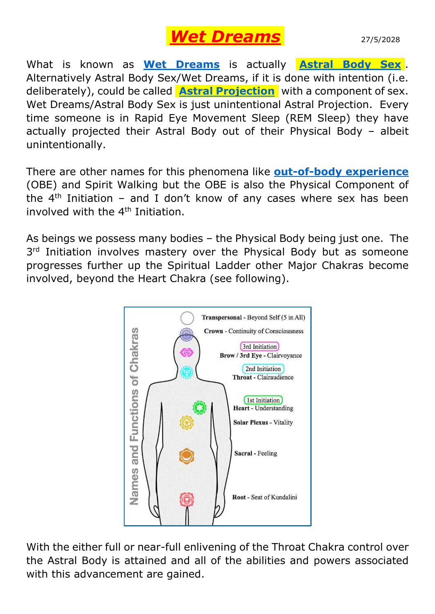## .*[Wet Dreams](plan.docxhttps://www.google.com.au/search?source=hp&ei=dykCW5fJJYjS8QWV-o2wBg&q=wet+dreams&oq=wet+dreams&gs_l=psy-ab.3..0l10.3356.13515.0.19317.23.21.0.0.0.0.2470.4797.7-2j0j1.3.0....0...1c.1.64.psy-ab..20.3.4797...0i131k1.0.hNANZQpp2aQ)*. 27/5/2028

What is known as **[Wet Dreams](https://www.google.com.au/search?source=hp&ei=dykCW5fJJYjS8QWV-o2wBg&q=wet+dreams&oq=wet+dreams&gs_l=psy-ab.3..0l10.3356.13515.0.19317.23.21.0.0.0.0.2470.4797.7-2j0j1.3.0....0...1c.1.64.psy-ab..20.3.4797...0i131k1.0.hNANZQpp2aQ)** is actually **[Astral Body Sex](https://www.google.com.au/search?source=hp&ei=pjECW-GfAcyV8wWcgazwAg&q=astral+body+sex&oq=astral+body+sex&gs_l=psy-ab.12...0.0.1.58.0.0.0.0.0.0.0.0..0.0....0...1c..64.psy-ab..0.0.0....0.G8QY607Wg2A)**. Alternatively Astral Body Sex/Wet Dreams, if it is done with intention (i.e. deliberately), could be called **Astral Projection** with a component of sex. Wet Dreams/Astral Body Sex is just unintentional Astral Projection. Every time someone is in Rapid Eye Movement Sleep (REM Sleep) they have actually projected their Astral Body out of their Physical Body – albeit unintentionally.

There are other names for this phenomena like **[out-of-body experience](https://www.google.com.au/search?ei=4DMCW_bAPIzT8QXk5KiYDw&q=out-of-body+experience&oq=out-of-body+experience&gs_l=psy-ab.3..0i67k1j0l2j0i67k1l2j0i30k1l5.29939.33958.0.37533.4.4.0.0.0.0.220.831.2-4.4.0....0...1c.1.64.psy-ab..0.4.828...0i7i30k1.0.5yMjGYowrfc)** (OBE) and Spirit Walking but the OBE is also the Physical Component of the  $4<sup>th</sup>$  Initiation – and I don't know of any cases where sex has been involved with the 4th Initiation.

As beings we possess many bodies – the Physical Body being just one. The 3<sup>rd</sup> Initiation involves mastery over the Physical Body but as someone progresses further up the Spiritual Ladder other Major Chakras become involved, beyond the Heart Chakra (see following).



With the either full or near-full enlivening of the Throat Chakra control over the Astral Body is attained and all of the abilities and powers associated with this advancement are gained.